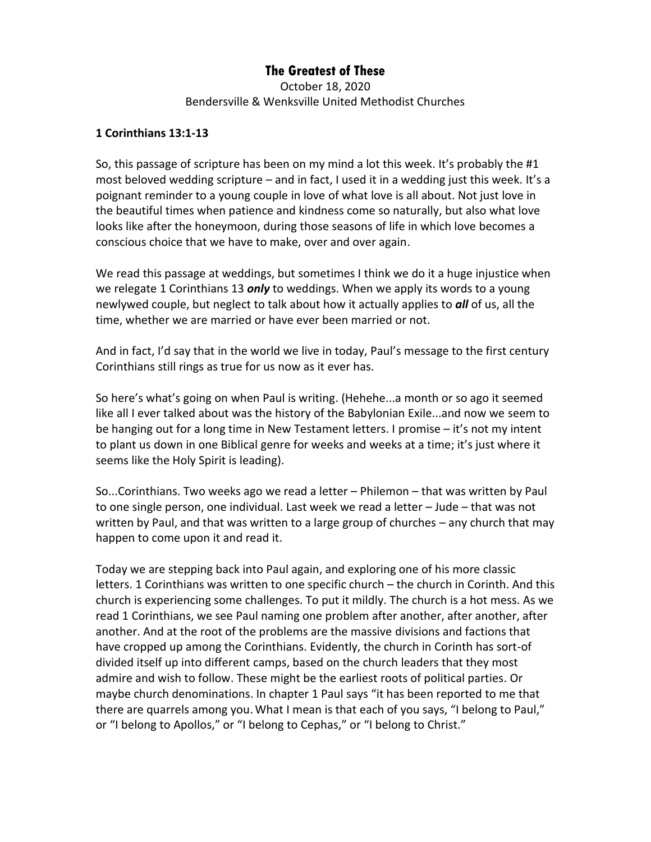## **The Greatest of These**

October 18, 2020 Bendersville & Wenksville United Methodist Churches

## **1 Corinthians 13:1-13**

So, this passage of scripture has been on my mind a lot this week. It's probably the #1 most beloved wedding scripture – and in fact, I used it in a wedding just this week. It's a poignant reminder to a young couple in love of what love is all about. Not just love in the beautiful times when patience and kindness come so naturally, but also what love looks like after the honeymoon, during those seasons of life in which love becomes a conscious choice that we have to make, over and over again.

We read this passage at weddings, but sometimes I think we do it a huge injustice when we relegate 1 Corinthians 13 *only* to weddings. When we apply its words to a young newlywed couple, but neglect to talk about how it actually applies to *all* of us, all the time, whether we are married or have ever been married or not.

And in fact, I'd say that in the world we live in today, Paul's message to the first century Corinthians still rings as true for us now as it ever has.

So here's what's going on when Paul is writing. (Hehehe...a month or so ago it seemed like all I ever talked about was the history of the Babylonian Exile...and now we seem to be hanging out for a long time in New Testament letters. I promise – it's not my intent to plant us down in one Biblical genre for weeks and weeks at a time; it's just where it seems like the Holy Spirit is leading).

So...Corinthians. Two weeks ago we read a letter – Philemon – that was written by Paul to one single person, one individual. Last week we read a letter – Jude – that was not written by Paul, and that was written to a large group of churches – any church that may happen to come upon it and read it.

Today we are stepping back into Paul again, and exploring one of his more classic letters. 1 Corinthians was written to one specific church – the church in Corinth. And this church is experiencing some challenges. To put it mildly. The church is a hot mess. As we read 1 Corinthians, we see Paul naming one problem after another, after another, after another. And at the root of the problems are the massive divisions and factions that have cropped up among the Corinthians. Evidently, the church in Corinth has sort-of divided itself up into different camps, based on the church leaders that they most admire and wish to follow. These might be the earliest roots of political parties. Or maybe church denominations. In chapter 1 Paul says "it has been reported to me that there are quarrels among you.What I mean is that each of you says, "I belong to Paul," or "I belong to Apollos," or "I belong to Cephas," or "I belong to Christ."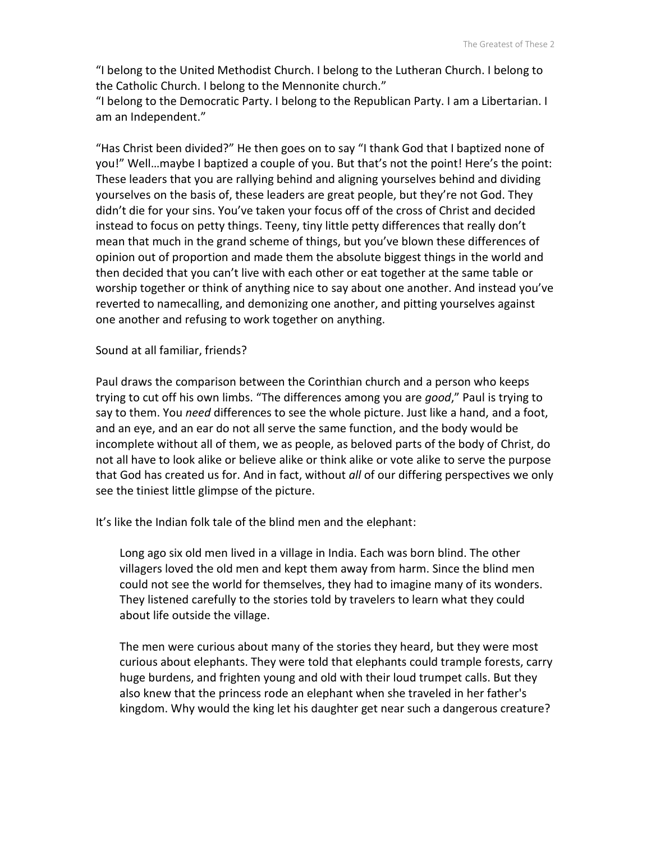"I belong to the United Methodist Church. I belong to the Lutheran Church. I belong to the Catholic Church. I belong to the Mennonite church."

"I belong to the Democratic Party. I belong to the Republican Party. I am a Libertarian. I am an Independent."

"Has Christ been divided?" He then goes on to say "I thank God that I baptized none of you!" Well…maybe I baptized a couple of you. But that's not the point! Here's the point: These leaders that you are rallying behind and aligning yourselves behind and dividing yourselves on the basis of, these leaders are great people, but they're not God. They didn't die for your sins. You've taken your focus off of the cross of Christ and decided instead to focus on petty things. Teeny, tiny little petty differences that really don't mean that much in the grand scheme of things, but you've blown these differences of opinion out of proportion and made them the absolute biggest things in the world and then decided that you can't live with each other or eat together at the same table or worship together or think of anything nice to say about one another. And instead you've reverted to namecalling, and demonizing one another, and pitting yourselves against one another and refusing to work together on anything.

## Sound at all familiar, friends?

Paul draws the comparison between the Corinthian church and a person who keeps trying to cut off his own limbs. "The differences among you are *good*," Paul is trying to say to them. You *need* differences to see the whole picture. Just like a hand, and a foot, and an eye, and an ear do not all serve the same function, and the body would be incomplete without all of them, we as people, as beloved parts of the body of Christ, do not all have to look alike or believe alike or think alike or vote alike to serve the purpose that God has created us for. And in fact, without *all* of our differing perspectives we only see the tiniest little glimpse of the picture.

It's like the Indian folk tale of the blind men and the elephant:

Long ago six old men lived in a village in India. Each was born blind. The other villagers loved the old men and kept them away from harm. Since the blind men could not see the world for themselves, they had to imagine many of its wonders. They listened carefully to the stories told by travelers to learn what they could about life outside the village.

The men were curious about many of the stories they heard, but they were most curious about elephants. They were told that elephants could trample forests, carry huge burdens, and frighten young and old with their loud trumpet calls. But they also knew that the princess rode an elephant when she traveled in her father's kingdom. Why would the king let his daughter get near such a dangerous creature?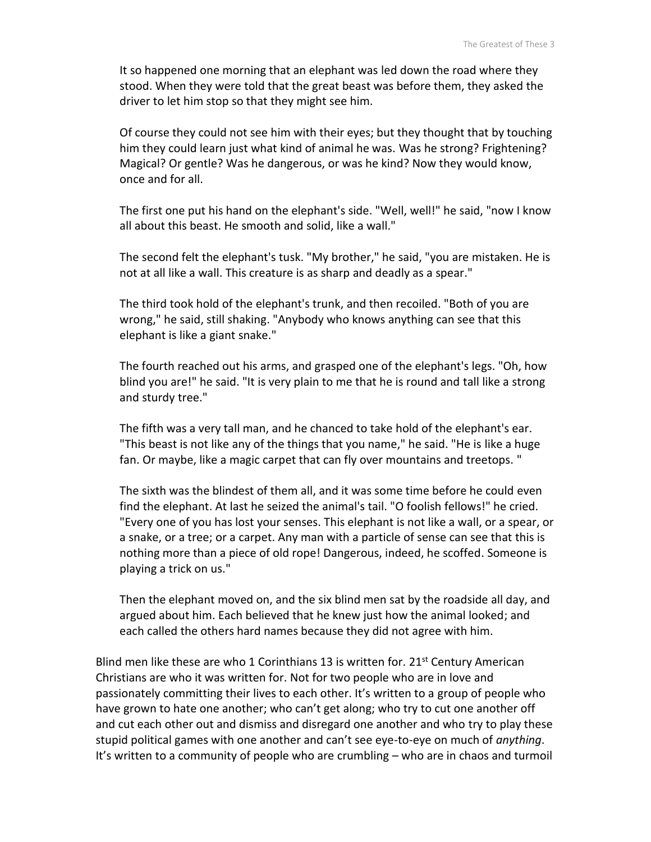It so happened one morning that an elephant was led down the road where they stood. When they were told that the great beast was before them, they asked the driver to let him stop so that they might see him.

Of course they could not see him with their eyes; but they thought that by touching him they could learn just what kind of animal he was. Was he strong? Frightening? Magical? Or gentle? Was he dangerous, or was he kind? Now they would know, once and for all.

The first one put his hand on the elephant's side. "Well, well!" he said, "now I know all about this beast. He smooth and solid, like a wall."

The second felt the elephant's tusk. "My brother," he said, "you are mistaken. He is not at all like a wall. This creature is as sharp and deadly as a spear."

The third took hold of the elephant's trunk, and then recoiled. "Both of you are wrong," he said, still shaking. "Anybody who knows anything can see that this elephant is like a giant snake."

The fourth reached out his arms, and grasped one of the elephant's legs. "Oh, how blind you are!" he said. "It is very plain to me that he is round and tall like a strong and sturdy tree."

The fifth was a very tall man, and he chanced to take hold of the elephant's ear. "This beast is not like any of the things that you name," he said. "He is like a huge fan. Or maybe, like a magic carpet that can fly over mountains and treetops. "

The sixth was the blindest of them all, and it was some time before he could even find the elephant. At last he seized the animal's tail. "O foolish fellows!" he cried. "Every one of you has lost your senses. This elephant is not like a wall, or a spear, or a snake, or a tree; or a carpet. Any man with a particle of sense can see that this is nothing more than a piece of old rope! Dangerous, indeed, he scoffed. Someone is playing a trick on us."

Then the elephant moved on, and the six blind men sat by the roadside all day, and argued about him. Each believed that he knew just how the animal looked; and each called the others hard names because they did not agree with him.

Blind men like these are who 1 Corinthians 13 is written for.  $21<sup>st</sup>$  Century American Christians are who it was written for. Not for two people who are in love and passionately committing their lives to each other. It's written to a group of people who have grown to hate one another; who can't get along; who try to cut one another off and cut each other out and dismiss and disregard one another and who try to play these stupid political games with one another and can't see eye-to-eye on much of *anything*. It's written to a community of people who are crumbling – who are in chaos and turmoil